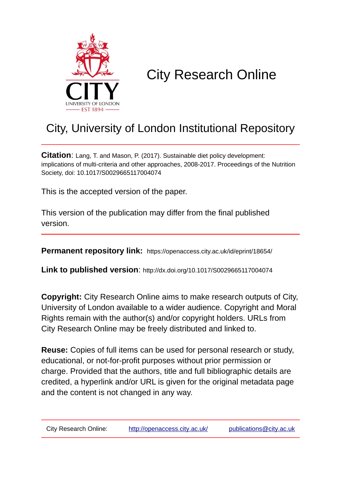

# City Research Online

## City, University of London Institutional Repository

**Citation**: Lang, T. and Mason, P. (2017). Sustainable diet policy development: implications of multi-criteria and other approaches, 2008-2017. Proceedings of the Nutrition Society, doi: 10.1017/S0029665117004074

This is the accepted version of the paper.

This version of the publication may differ from the final published version.

**Permanent repository link:** https://openaccess.city.ac.uk/id/eprint/18654/

**Link to published version**: http://dx.doi.org/10.1017/S0029665117004074

**Copyright:** City Research Online aims to make research outputs of City, University of London available to a wider audience. Copyright and Moral Rights remain with the author(s) and/or copyright holders. URLs from City Research Online may be freely distributed and linked to.

**Reuse:** Copies of full items can be used for personal research or study, educational, or not-for-profit purposes without prior permission or charge. Provided that the authors, title and full bibliographic details are credited, a hyperlink and/or URL is given for the original metadata page and the content is not changed in any way.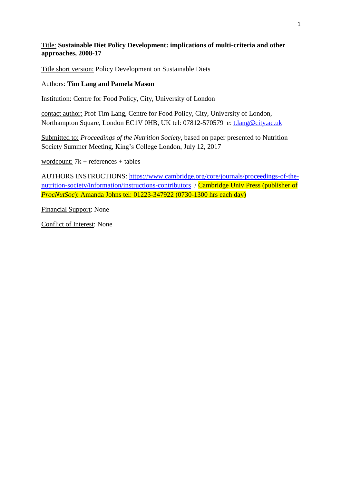#### Title: **Sustainable Diet Policy Development: implications of multi-criteria and other approaches, 2008-17**

Title short version: Policy Development on Sustainable Diets

#### Authors: **Tim Lang and Pamela Mason**

Institution: Centre for Food Policy, City, University of London

contact author: Prof Tim Lang, Centre for Food Policy, City, University of London, Northampton Square, London EC1V 0HB, UK tel: 07812-570579 e: [t.lang@city.ac.uk](mailto:t.lang@city.ac.uk)

Submitted to: *Proceedings of the Nutrition Society*, based on paper presented to Nutrition Society Summer Meeting, King's College London, July 12, 2017

wordcount: 7k + references + tables

AUTHORS INSTRUCTIONS: [https://www.cambridge.org/core/journals/proceedings-of-the](https://www.cambridge.org/core/journals/proceedings-of-the-nutrition-society/information/instructions-contributors)[nutrition-society/information/instructions-contributors](https://www.cambridge.org/core/journals/proceedings-of-the-nutrition-society/information/instructions-contributors) / Cambridge Univ Press (publisher of *ProcNutSoc*): Amanda Johns tel: 01223-347922 (0730-1300 hrs each day)

Financial Support: None

Conflict of Interest: None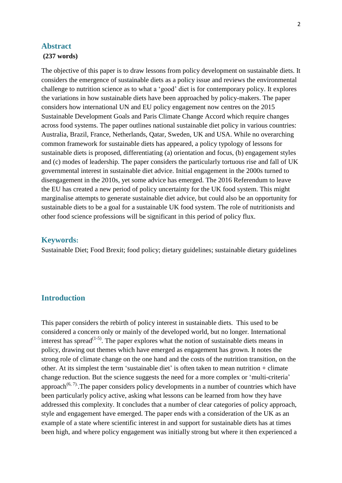#### **Abstract**

#### **(237 words)**

The objective of this paper is to draw lessons from policy development on sustainable diets. It considers the emergence of sustainable diets as a policy issue and reviews the environmental challenge to nutrition science as to what a 'good' diet is for contemporary policy. It explores the variations in how sustainable diets have been approached by policy-makers. The paper considers how international UN and EU policy engagement now centres on the 2015 Sustainable Development Goals and Paris Climate Change Accord which require changes across food systems. The paper outlines national sustainable diet policy in various countries: Australia, Brazil, France, Netherlands, Qatar, Sweden, UK and USA. While no overarching common framework for sustainable diets has appeared, a policy typology of lessons for sustainable diets is proposed, differentiating (a) orientation and focus, (b) engagement styles and (c) modes of leadership. The paper considers the particularly tortuous rise and fall of UK governmental interest in sustainable diet advice. Initial engagement in the 2000s turned to disengagement in the 2010s, yet some advice has emerged. The 2016 Referendum to leave the EU has created a new period of policy uncertainty for the UK food system. This might marginalise attempts to generate sustainable diet advice, but could also be an opportunity for sustainable diets to be a goal for a sustainable UK food system. The role of nutritionists and other food science professions will be significant in this period of policy flux.

#### **Keywords:**

Sustainable Diet; Food Brexit; food policy; dietary guidelines; sustainable dietary guidelines

#### **Introduction**

This paper considers the rebirth of policy interest in sustainable diets. This used to be considered a concern only or mainly of the developed world, but no longer. International interest has spread<sup> $(1-5)$ </sup>. The paper explores what the notion of sustainable diets means in policy, drawing out themes which have emerged as engagement has grown. It notes the strong role of climate change on the one hand and the costs of the nutrition transition, on the other. At its simplest the term 'sustainable diet' is often taken to mean nutrition  $+$  climate change reduction. But the science suggests the need for a more complex or 'multi-criteria' approach<sup> $(6, 7)$ </sup>. The paper considers policy developments in a number of countries which have been particularly policy active, asking what lessons can be learned from how they have addressed this complexity. It concludes that a number of clear categories of policy approach, style and engagement have emerged. The paper ends with a consideration of the UK as an example of a state where scientific interest in and support for sustainable diets has at times been high, and where policy engagement was initially strong but where it then experienced a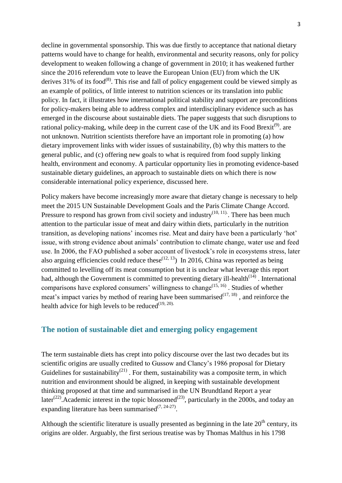decline in governmental sponsorship. This was due firstly to acceptance that national dietary patterns would have to change for health, environmental and security reasons, only for policy development to weaken following a change of government in 2010; it has weakened further since the 2016 referendum vote to leave the European Union (EU) from which the UK derives  $31\%$  of its food<sup>(8)</sup>. This rise and fall of policy engagement could be viewed simply as an example of politics, of little interest to nutrition sciences or its translation into public policy. In fact, it illustrates how international political stability and support are preconditions for policy-makers being able to address complex and interdisciplinary evidence such as has emerged in the discourse about sustainable diets. The paper suggests that such disruptions to rational policy-making, while deep in the current case of the UK and its Food Brexit<sup>(9)</sup>. are not unknown. Nutrition scientists therefore have an important role in promoting (a) how dietary improvement links with wider issues of sustainability, (b) why this matters to the general public, and (c) offering new goals to what is required from food supply linking health, environment and economy. A particular opportunity lies in promoting evidence-based sustainable dietary guidelines, an approach to sustainable diets on which there is now considerable international policy experience, discussed here.

Policy makers have become increasingly more aware that dietary change is necessary to help meet the 2015 UN Sustainable Development Goals and the Paris Climate Change Accord. Pressure to respond has grown from civil society and industry<sup> $(10, 11)$ </sup>. There has been much attention to the particular issue of meat and dairy within diets, particularly in the nutrition transition, as developing nations' incomes rise. Meat and dairy have been a particularly 'hot' issue, with strong evidence about animals' contribution to climate change, water use and feed use. In 2006, the FAO published a sober account of livestock's role in ecosystems stress, later also arguing efficiencies could reduce these<sup> $(12, 13)$ </sup> In 2016, China was reported as being committed to levelling off its meat consumption but it is unclear what leverage this report had, although the Government is committed to preventing dietary ill-health $(14)$ . International comparisons have explored consumers' willingness to change<sup> $(15, 16)$ </sup>. Studies of whether meat's impact varies by method of rearing have been summarised  $(17, 18)$ , and reinforce the health advice for high levels to be reduced $(19, 20)$ .

#### **The notion of sustainable diet and emerging policy engagement**

The term sustainable diets has crept into policy discourse over the last two decades but its scientific origins are usually credited to Gussow and Clancy's 1986 proposal for Dietary Guidelines for sustainability<sup>(21)</sup>. For them, sustainability was a composite term, in which nutrition and environment should be aligned, in keeping with sustainable development thinking proposed at that time and summarised in the UN Brundtland Report a year later<sup>(22)</sup>. Academic interest in the topic blossomed<sup>(23)</sup>, particularly in the 2000s, and today an expanding literature has been summarised $(7, 24-27)$ .

Although the scientific literature is usually presented as beginning in the late  $20<sup>th</sup>$  century, its origins are older. Arguably, the first serious treatise was by Thomas Malthus in his 1798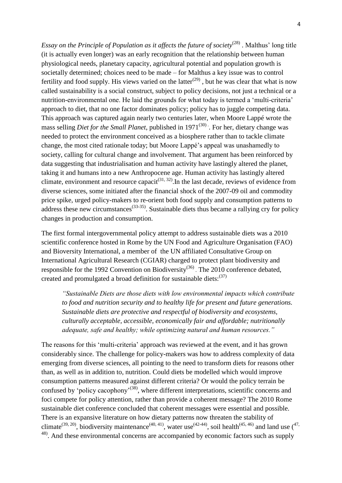Essay on the Principle of Population as it affects the future of society<sup>(28)</sup>. Malthus' long title (it is actually even longer) was an early recognition that the relationship between human physiological needs, planetary capacity, agricultural potential and population growth is societally determined; choices need to be made – for Malthus a key issue was to control fertility and food supply. His views varied on the latter<sup> $(29)$ </sup>, but he was clear that what is now called sustainability is a social construct, subject to policy decisions, not just a technical or a nutrition-environmental one. He laid the grounds for what today is termed a 'multi-criteria' approach to diet, that no one factor dominates policy; policy has to juggle competing data. This approach was captured again nearly two centuries later, when Moore Lappé wrote the mass selling *Diet for the Small Planet*, published in 1971<sup>(30)</sup>. For her, dietary change was needed to protect the environment conceived as a biosphere rather than to tackle climate change, the most cited rationale today; but Moore Lappé's appeal was unashamedly to society, calling for cultural change and involvement. That argument has been reinforced by data suggesting that industrialisation and human activity have lastingly altered the planet, taking it and humans into a new Anthropocene age. Human activity has lastingly altered climate, environment and resource capacit<sup>(31, 32)</sup>. In the last decade, reviews of evidence from diverse sciences, some initiated after the financial shock of the 2007-09 oil and commodity price spike, urged policy-makers to re-orient both food supply and consumption patterns to address these new circumstances<sup> $(33-35)$ </sup>. Sustainable diets thus became a rallying cry for policy changes in production and consumption.

The first formal intergovernmental policy attempt to address sustainable diets was a 2010 scientific conference hosted in Rome by the UN Food and Agriculture Organisation (FAO) and Bioversity International, a member of the UN affiliated Consultative Group on International Agricultural Research (CGIAR) charged to protect plant biodiversity and responsible for the 1992 Convention on Biodiversity<sup>(36)</sup>. The 2010 conference debated, created and promulgated a broad definition for sustainable diets:  $(37)$ 

*"Sustainable Diets are those diets with low environmental impacts which contribute to food and nutrition security and to healthy life for present and future generations. Sustainable diets are protective and respectful of biodiversity and ecosystems, culturally acceptable, accessible, economically fair and affordable; nutritionally adequate, safe and healthy; while optimizing natural and human resources."* 

The reasons for this 'multi-criteria' approach was reviewed at the event, and it has grown considerably since. The challenge for policy-makers was how to address complexity of data emerging from diverse sciences, all pointing to the need to transform diets for reasons other than, as well as in addition to, nutrition. Could diets be modelled which would improve consumption patterns measured against different criteria? Or would the policy terrain be confused by 'policy cacophony'<sup>(38)</sup>, where different interpretations, scientific concerns and foci compete for policy attention, rather than provide a coherent message? The 2010 Rome sustainable diet conference concluded that coherent messages were essential and possible. There is an expansive literature on how dietary patterns now threaten the stability of climate<sup>(39, 20)</sup>, biodiversity maintenance<sup>(40, 41)</sup>, water use<sup>(42-44)</sup>, soil health<sup>(45, 46)</sup> and land use (<sup>47,</sup> <sup>48)</sup>. And these environmental concerns are accompanied by economic factors such as supply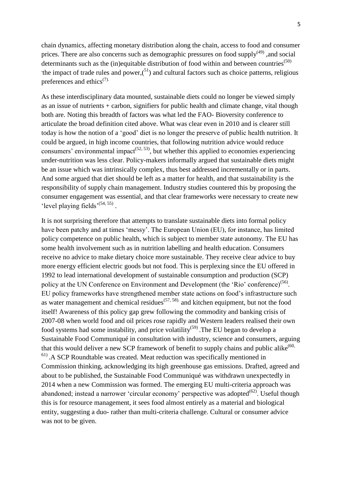chain dynamics, affecting monetary distribution along the chain, access to food and consumer prices. There are also concerns such as demographic pressures on food supply $(49)$ , and social determinants such as the (in)equitable distribution of food within and between countries<sup> $(50)$ </sup> the impact of trade rules and power, $(^{51})$  and cultural factors such as choice patterns, religious preferences and ethics $(7)$ .

As these interdisciplinary data mounted, sustainable diets could no longer be viewed simply as an issue of nutrients  $+$  carbon, signifiers for public health and climate change, vital though both are. Noting this breadth of factors was what led the FAO- Bioversity conference to articulate the broad definition cited above. What was clear even in 2010 and is clearer still today is how the notion of a 'good' diet is no longer the preserve of public health nutrition. It could be argued, in high income countries, that following nutrition advice would reduce consumers' environmental impact<sup> $(52, 53)$ </sup>, but whether this applied to economies experiencing under-nutrition was less clear. Policy-makers informally argued that sustainable diets might be an issue which was intrinsically complex, thus best addressed incrementally or in parts. And some argued that diet should be left as a matter for health, and that sustainability is the responsibility of supply chain management. Industry studies countered this by proposing the consumer engagement was essential, and that clear frameworks were necessary to create new 'level playing fields $(54, 55)$ .

It is not surprising therefore that attempts to translate sustainable diets into formal policy have been patchy and at times 'messy'. The European Union (EU), for instance, has limited policy competence on public health, which is subject to member state autonomy. The EU has some health involvement such as in nutrition labelling and health education. Consumers receive no advice to make dietary choice more sustainable. They receive clear advice to buy more energy efficient electric goods but not food. This is perplexing since the EU offered in 1992 to lead international development of sustainable consumption and production (SCP) policy at the UN Conference on Environment and Development (the 'Rio' conference)<sup>(56)</sup>. EU policy frameworks have strengthened member state actions on food's infrastructure such as water management and chemical residues  $(57, 58)$  and kitchen equipment, but not the food itself! Awareness of this policy gap grew following the commodity and banking crisis of 2007-08 when world food and oil prices rose rapidly and Western leaders realised their own food systems had some instability, and price volatility<sup>(59)</sup>. The EU began to develop a Sustainable Food Communiqué in consultation with industry, science and consumers, arguing that this would deliver a new SCP framework of benefit to supply chains and public alike $^{(60)}$ . 61) .A SCP Roundtable was created. Meat reduction was specifically mentioned in Commission thinking, acknowledging its high greenhouse gas emissions. Drafted, agreed and about to be published, the Sustainable Food Communiqué was withdrawn unexpectedly in 2014 when a new Commission was formed. The emerging EU multi-criteria approach was abandoned; instead a narrower 'circular economy' perspective was adopted $(62)$ . Useful though this is for resource management, it sees food almost entirely as a material and biological entity, suggesting a duo- rather than multi-criteria challenge. Cultural or consumer advice was not to be given.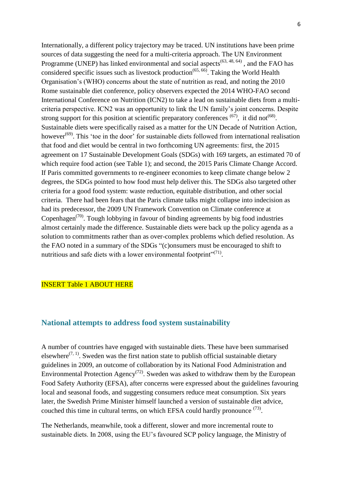Internationally, a different policy trajectory may be traced. UN institutions have been prime sources of data suggesting the need for a multi-criteria approach. The UN Environment Programme (UNEP) has linked environmental and social aspects<sup> $(63, 48, 64)$ </sup>, and the FAO has considered specific issues such as livestock production<sup> $(65, 66)$ </sup>. Taking the World Health Organisation's (WHO) concerns about the state of nutrition as read, and noting the 2010 Rome sustainable diet conference, policy observers expected the 2014 WHO-FAO second International Conference on Nutrition (ICN2) to take a lead on sustainable diets from a multicriteria perspective. ICN2 was an opportunity to link the UN family's joint concerns. Despite strong support for this position at scientific preparatory conferences  $(67)$ , it did not  $(68)$ . Sustainable diets were specifically raised as a matter for the UN Decade of Nutrition Action, however<sup>(69)</sup>. This 'toe in the door' for sustainable diets followed from international realisation that food and diet would be central in two forthcoming UN agreements: first, the 2015 agreement on 17 Sustainable Development Goals (SDGs) with 169 targets, an estimated 70 of which require food action (see Table 1); and second, the 2015 Paris Climate Change Accord. If Paris committed governments to re-engineer economies to keep climate change below 2 degrees, the SDGs pointed to how food must help deliver this. The SDGs also targeted other criteria for a good food system: waste reduction, equitable distribution, and other social criteria. There had been fears that the Paris climate talks might collapse into indecision as had its predecessor, the 2009 UN Framework Convention on Climate conference at Copenhagen<sup> $(70)$ </sup>. Tough lobbying in favour of binding agreements by big food industries almost certainly made the difference. Sustainable diets were back up the policy agenda as a solution to commitments rather than as over-complex problems which defied resolution. As the FAO noted in a summary of the SDGs "(c)onsumers must be encouraged to shift to nutritious and safe diets with a lower environmental footprint"<sup>(71)</sup>.

#### INSERT Table 1 ABOUT HERE

#### **National attempts to address food system sustainability**

A number of countries have engaged with sustainable diets. These have been summarised elsewhere<sup> $(7, 1)$ </sup>. Sweden was the first nation state to publish official sustainable dietary guidelines in 2009, an outcome of collaboration by its National Food Administration and Environmental Protection Agency<sup>(72)</sup>. Sweden was asked to withdraw them by the European Food Safety Authority (EFSA), after concerns were expressed about the guidelines favouring local and seasonal foods, and suggesting consumers reduce meat consumption. Six years later, the Swedish Prime Minister himself launched a version of sustainable diet advice, couched this time in cultural terms, on which EFSA could hardly pronounce  $^{(73)}$ .

The Netherlands, meanwhile, took a different, slower and more incremental route to sustainable diets. In 2008, using the EU's favoured SCP policy language, the Ministry of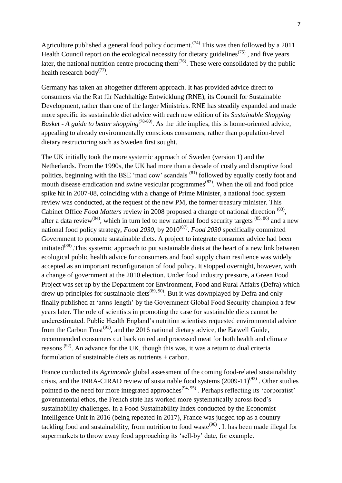Agriculture published a general food policy document.<sup> $(74)$ </sup> This was then followed by a 2011 Health Council report on the ecological necessity for dietary guidelines<sup> $(75)$ </sup>, and five years later, the national nutrition centre producing them<sup> $(76)$ </sup>. These were consolidated by the public health research body $(77)$ .

Germany has taken an altogether different approach. It has provided advice direct to consumers via the Rat für Nachhaltige Entwicklung (RNE), its Council for Sustainable Development, rather than one of the larger Ministries. RNE has steadily expanded and made more specific its sustainable diet advice with each new edition of its *Sustainable Shopping Basket* - A guide to better shopping<sup>(78-80)</sup>. As the title implies, this is home-oriented advice, appealing to already environmentally conscious consumers, rather than population-level dietary restructuring such as Sweden first sought.

The UK initially took the more systemic approach of Sweden (version 1) and the Netherlands. From the 1990s, the UK had more than a decade of costly and disruptive food politics, beginning with the BSE 'mad cow' scandals <sup>(81)</sup> followed by equally costly foot and mouth disease eradication and swine vesicular programmes<sup>(82)</sup>. When the oil and food price spike hit in 2007-08, coinciding with a change of Prime Minister, a national food system review was conducted, at the request of the new PM, the former treasury minister. This Cabinet Office *Food Matters* review in 2008 proposed a change of national direction <sup>(83)</sup>, after a data review<sup>(84)</sup>, which in turn led to new national food security targets  $(85, 86)$  and a new national food policy strategy, *Food 2030*, by 2010<sup>(87)</sup>. *Food 2030* specifically committed Government to promote sustainable diets. A project to integrate consumer advice had been initiated<sup>(88)</sup>. This systemic approach to put sustainable diets at the heart of a new link between ecological public health advice for consumers and food supply chain resilience was widely accepted as an important reconfiguration of food policy. It stopped overnight, however, with a change of government at the 2010 election. Under food industry pressure, a Green Food Project was set up by the Department for Environment, Food and Rural Affairs (Defra) which drew up principles for sustainable diets<sup> $(89, 90)$ </sup>. But it was downplayed by Defra and only finally published at 'arms-length' by the Government Global Food Security champion a few years later. The role of scientists in promoting the case for sustainable diets cannot be underestimated. Public Health England's nutrition scientists requested environmental advice from the Carbon Trust<sup>(91)</sup>, and the 2016 national dietary advice, the Eatwell Guide, recommended consumers cut back on red and processed meat for both health and climate reasons  $(92)$ . An advance for the UK, though this was, it was a return to dual criteria formulation of sustainable diets as nutrients + carbon.

France conducted its *Agrimonde* global assessment of the coming food-related sustainability crisis, and the INRA-CIRAD review of sustainable food systems  $(2009-11)^{(93)}$ . Other studies pointed to the need for more integrated approaches<sup> $(94, 95)$ </sup>. Perhaps reflecting its 'corporatist' governmental ethos, the French state has worked more systematically across food's sustainability challenges. In a Food Sustainability Index conducted by the Economist Intelligence Unit in 2016 (being repeated in 2017), France was judged top as a country tackling food and sustainability, from nutrition to food waste $(96)$ . It has been made illegal for supermarkets to throw away food approaching its 'sell-by' date, for example.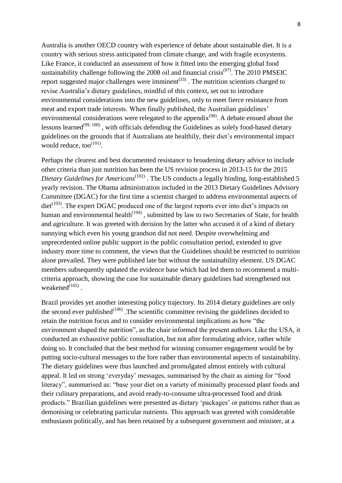Australia is another OECD country with experience of debate about sustainable diet. It is a country with serious stress anticipated from climate change, and with fragile ecosystems. Like France, it conducted an assessment of how it fitted into the emerging global food sustainability challenge following the 2008 oil and financial crisis<sup>(97)</sup>. The 2010 PMSEIC report suggested major challenges were imminent<sup> $(33)$ </sup>. The nutrition scientists charged to revise Australia's dietary guidelines, mindful of this context, set out to introduce environmental considerations into the new guidelines, only to meet fierce resistance from meat and export trade interests. When finally published, the Australian guidelines' environmental considerations were relegated to the appendix<sup>(98)</sup>. A debate ensued about the lessons learned<sup>(99, 100)</sup>, with officials defending the Guidelines as solely food-based dietary guidelines on the grounds that if Australians ate healthily, their diet's environmental impact would reduce, too $^{(101)}$ .

Perhaps the clearest and best documented resistance to broadening dietary advice to include other criteria than just nutrition has been the US revision process in 2013-15 for the 2015 Dietary Guidelines for Americans<sup>(102)</sup>. The US conducts a legally binding, long-established 5 yearly revision. The Obama administration included in the 2013 Dietary Guidelines Advisory Committee (DGAC) for the first time a scientist charged to address environmental aspects of diet<sup>(103)</sup>. The expert DGAC produced one of the largest reports ever into diet's impacts on human and environmental health<sup> $(104)$ </sup>, submitted by law to two Secretaries of State, for health and agriculture. It was greeted with derision by the latter who accused it of a kind of dietary nannying which even his young grandson did not need. Despite overwhelming and unprecedented online public support in the public consultation period, extended to give industry more time to comment, the views that the Guidelines should be restricted to nutrition alone prevailed. They were published late but without the sustainability element. US DGAC members subsequently updated the evidence base which had led them to recommend a multicriteria approach, showing the case for sustainable dietary guidelines had strengthened not weakened $(105)$ .

Brazil provides yet another interesting policy trajectory. Its 2014 dietary guidelines are only the second ever published $(106)$ . The scientific committee revising the guidelines decided to retain the nutrition focus and to consider environmental implications as how "the environment shaped the nutrition", as the chair informed the present authors. Like the USA, it conducted an exhaustive public consultation, but not after formulating advice, rather while doing so. It concluded that the best method for winning consumer engagement would be by putting socio-cultural messages to the fore rather than environmental aspects of sustainability. The dietary guidelines were thus launched and promulgated almost entirely with cultural appeal. It led on strong 'everyday' messages, summarised by the chair as aiming for "food literacy", summarised as: "base your diet on a variety of minimally processed plant foods and their culinary preparations, and avoid ready-to-consume ultra-processed food and drink products." Brazilian guidelines were presented as dietary 'packages' or patterns rather than as demonising or celebrating particular nutrients. This approach was greeted with considerable enthusiasm politically, and has been retained by a subsequent government and minister, at a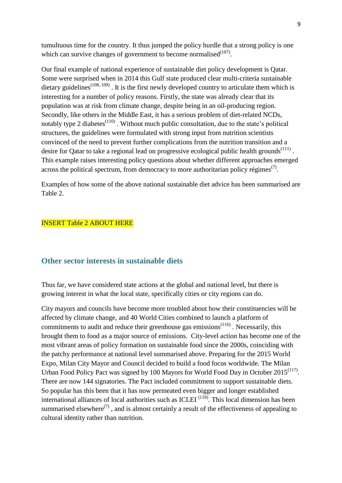tumultuous time for the country. It thus jumped the policy hurdle that a strong policy is one which can survive changes of government to become normalised $(107)$ .

Our final example of national experience of sustainable diet policy development is Qatar. Some were surprised when in 2014 this Gulf state produced clear multi-criteria sustainable dietary guidelines<sup> $(108, 109)$ </sup>. It is the first newly developed country to articulate them which is interesting for a number of policy reasons. Firstly, the state was already clear that its population was at risk from climate change, despite being in an oil-producing region. Secondly, like others in the Middle East, it has a serious problem of diet-related NCDs, notably type 2 diabetes<sup> $(110)$ </sup>. Without much public consultation, due to the state's political structures, the guidelines were formulated with strong input from nutrition scientists convinced of the need to prevent further complications from the nutrition transition and a desire for Qatar to take a regional lead on progressive ecological public health grounds<sup> $(111)$ </sup>. This example raises interesting policy questions about whether different approaches emerged across the political spectrum, from democracy to more authoritarian policy régimes<sup> $(7)$ </sup>.

Examples of how some of the above national sustainable diet advice has been summarised are Table 2.

#### INSERT Table 2 ABOUT HERE

#### **Other sector interests in sustainable diets**

Thus far, we have considered state actions at the global and national level, but there is growing interest in what the local state, specifically cities or city regions can do.

City mayors and councils have become more troubled about how their constituencies will be affected by climate change, and 40 World Cities combined to launch a platform of commitments to audit and reduce their greenhouse gas emissions $(116)$ . Necessarily, this brought them to food as a major source of emissions. City-level action has become one of the most vibrant areas of policy formation on sustainable food since the 2000s, coinciding with the patchy performance at national level summarised above. Preparing for the 2015 World Expo, Milan City Mayor and Council decided to build a food focus worldwide. The Milan Urban Food Policy Pact was signed by 100 Mayors for World Food Day in October  $2015^{(117)}$ . There are now 144 signatories. The Pact included commitment to support sustainable diets. So popular has this been that it has now permeated even bigger and longer established international alliances of local authorities such as ICLEI $<sup>(118)</sup>$ . This local dimension has been</sup> summarised elsewhere<sup>(7)</sup>, and is almost certainly a result of the effectiveness of appealing to cultural identity rather than nutrition.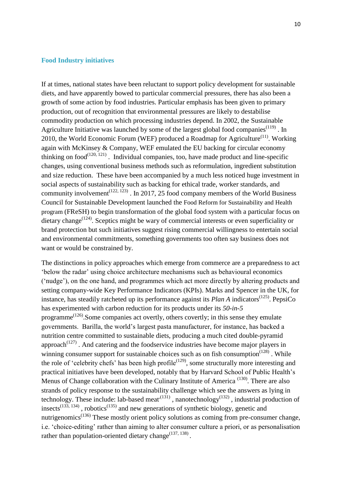#### **Food Industry initiatives**

If at times, national states have been reluctant to support policy development for sustainable diets, and have apparently bowed to particular commercial pressures, there has also been a growth of some action by food industries. Particular emphasis has been given to primary production, out of recognition that environmental pressures are likely to destabilise commodity production on which processing industries depend. In 2002, the Sustainable Agriculture Initiative was launched by some of the largest global food companies $(119)$ . In 2010, the World Economic Forum (WEF) produced a Roadmap for Agriculture<sup> $(11)$ </sup>. Working again with McKinsey & Company, WEF emulated the EU backing for circular economy thinking on food $(120, 121)$ . Individual companies, too, have made product and line-specific changes, using conventional business methods such as reformulation, ingredient substitution and size reduction. These have been accompanied by a much less noticed huge investment in social aspects of sustainability such as backing for ethical trade, worker standards, and community involvement<sup> $(122, 123)$ </sup>. In 2017, 25 food company members of the World Business Council for Sustainable Development launched the Food Reform for Sustainability and Health program (FReSH) to begin transformation of the global food system with a particular focus on dietary change<sup> $(124)$ </sup>. Sceptics might be wary of commercial interests or even superficiality or brand protection but such initiatives suggest rising commercial willingness to entertain social and environmental commitments, something governments too often say business does not want or would be constrained by.

The distinctions in policy approaches which emerge from commerce are a preparedness to act 'below the radar' using choice architecture mechanisms such as behavioural economics ('nudge'), on the one hand, and programmes which act more directly by altering products and setting company-wide Key Performance Indicators (KPIs). Marks and Spencer in the UK, for instance, has steadily ratcheted up its performance against its  $Plan\ A$  indicators<sup> $(125)$ </sup>. PepsiCo has experimented with carbon reduction for its products under its *50-in-5* programme<sup> $(126)$ </sup>. Some companies act overtly, others covertly; in this sense they emulate governments. Barilla, the world's largest pasta manufacturer, for instance, has backed a nutrition centre committed to sustainable diets, producing a much cited double-pyramid approach<sup> $(127)$ </sup>. And catering and the foodservice industries have become major players in winning consumer support for sustainable choices such as on fish consumption<sup> $(128)$ </sup>. While the role of 'celebrity chefs' has been high profile<sup> $(129)$ </sup>, some structurally more interesting and practical initiatives have been developed, notably that by Harvard School of Public Health's Menus of Change collaboration with the Culinary Institute of America<sup>(130)</sup>. There are also strands of policy response to the sustainability challenge which see the answers as lying in technology. These include: lab-based meat<sup> $(131)$ </sup>, nanotechnology<sup> $(132)$ </sup>, industrial production of insects<sup> $(133, 134)$ </sup>, robotics<sup> $(135)$ </sup> and new generations of synthetic biology, genetic and nutrigenomics<sup> $(136)$ </sup> These mostly orient policy solutions as coming from pre-consumer change, i.e. 'choice-editing' rather than aiming to alter consumer culture a priori, or as personalisation rather than population-oriented dietary change  $(137, 138)$ .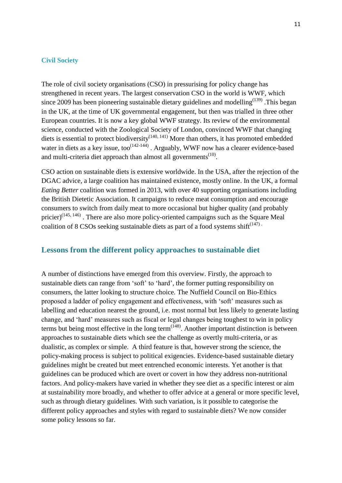#### **Civil Society**

The role of civil society organisations (CSO) in pressurising for policy change has strengthened in recent years. The largest conservation CSO in the world is WWF, which since 2009 has been pioneering sustainable dietary guidelines and modelling<sup> $(139)$ </sup>. This began in the UK, at the time of UK governmental engagement, but then was trialled in three other European countries. It is now a key global WWF strategy. Its review of the environmental science, conducted with the Zoological Society of London, convinced WWF that changing diets is essential to protect biodiversity<sup> $(140, 141)$ </sup> More than others, it has promoted embedded water in diets as a key issue, too<sup> $(142-144)$ </sup>. Arguably, WWF now has a clearer evidence-based and multi-criteria diet approach than almost all governments $^{(10)}$ .

CSO action on sustainable diets is extensive worldwide. In the USA, after the rejection of the DGAC advice, a large coalition has maintained existence, mostly online. In the UK, a formal *Eating Better* coalition was formed in 2013, with over 40 supporting organisations including the British Dietetic Association. It campaigns to reduce meat consumption and encourage consumers to switch from daily meat to more occasional but higher quality (and probably pricier)<sup> $(145, 146)$ </sup>. There are also more policy-oriented campaigns such as the Square Meal coalition of 8 CSOs seeking sustainable diets as part of a food systems shift $(147)$ .

#### **Lessons from the different policy approaches to sustainable diet**

A number of distinctions have emerged from this overview. Firstly, the approach to sustainable diets can range from 'soft' to 'hard', the former putting responsibility on consumers, the latter looking to structure choice. The Nuffield Council on Bio-Ethics proposed a ladder of policy engagement and effectiveness, with 'soft' measures such as labelling and education nearest the ground, i.e. most normal but less likely to generate lasting change, and 'hard' measures such as fiscal or legal changes being toughest to win in policy terms but being most effective in the long term<sup> $(148)$ </sup>. Another important distinction is between approaches to sustainable diets which see the challenge as overtly multi-criteria, or as dualistic, as complex or simple. A third feature is that, however strong the science, the policy-making process is subject to political exigencies. Evidence-based sustainable dietary guidelines might be created but meet entrenched economic interests. Yet another is that guidelines can be produced which are overt or covert in how they address non-nutritional factors. And policy-makers have varied in whether they see diet as a specific interest or aim at sustainability more broadly, and whether to offer advice at a general or more specific level, such as through dietary guidelines. With such variation, is it possible to categorise the different policy approaches and styles with regard to sustainable diets? We now consider some policy lessons so far.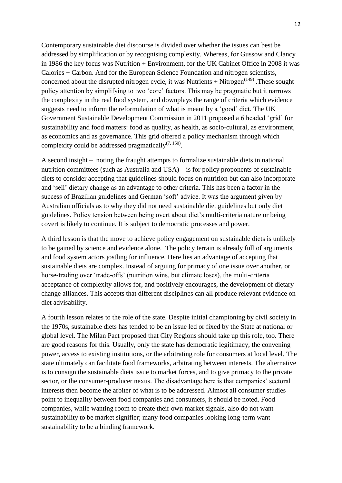Contemporary sustainable diet discourse is divided over whether the issues can best be addressed by simplification or by recognising complexity. Whereas, for Gussow and Clancy in 1986 the key focus was Nutrition + Environment, for the UK Cabinet Office in 2008 it was Calories + Carbon. And for the European Science Foundation and nitrogen scientists, concerned about the disrupted nitrogen cycle, it was Nutrients  $+$  Nitrogen<sup> $(149)$ </sup>. These sought policy attention by simplifying to two 'core' factors. This may be pragmatic but it narrows the complexity in the real food system, and downplays the range of criteria which evidence suggests need to inform the reformulation of what is meant by a 'good' diet. The UK Government Sustainable Development Commission in 2011 proposed a 6 headed 'grid' for sustainability and food matters: food as quality, as health, as socio-cultural, as environment, as economics and as governance. This grid offered a policy mechanism through which complexity could be addressed pragmatically<sup> $(7, 150)$ </sup>.

A second insight – noting the fraught attempts to formalize sustainable diets in national nutrition committees (such as Australia and USA) – is for policy proponents of sustainable diets to consider accepting that guidelines should focus on nutrition but can also incorporate and 'sell' dietary change as an advantage to other criteria. This has been a factor in the success of Brazilian guidelines and German 'soft' advice. It was the argument given by Australian officials as to why they did not need sustainable diet guidelines but only diet guidelines. Policy tension between being overt about diet's multi-criteria nature or being covert is likely to continue. It is subject to democratic processes and power.

A third lesson is that the move to achieve policy engagement on sustainable diets is unlikely to be gained by science and evidence alone. The policy terrain is already full of arguments and food system actors jostling for influence. Here lies an advantage of accepting that sustainable diets are complex. Instead of arguing for primacy of one issue over another, or horse-trading over 'trade-offs' (nutrition wins, but climate loses), the multi-criteria acceptance of complexity allows for, and positively encourages, the development of dietary change alliances. This accepts that different disciplines can all produce relevant evidence on diet advisability.

A fourth lesson relates to the role of the state. Despite initial championing by civil society in the 1970s, sustainable diets has tended to be an issue led or fixed by the State at national or global level. The Milan Pact proposed that City Regions should take up this role, too. There are good reasons for this. Usually, only the state has democratic legitimacy, the convening power, access to existing institutions, or the arbitrating role for consumers at local level. The state ultimately can facilitate food frameworks, arbitrating between interests. The alternative is to consign the sustainable diets issue to market forces, and to give primacy to the private sector, or the consumer-producer nexus. The disadvantage here is that companies' sectoral interests then become the arbiter of what is to be addressed. Almost all consumer studies point to inequality between food companies and consumers, it should be noted. Food companies, while wanting room to create their own market signals, also do not want sustainability to be market signifier; many food companies looking long-term want sustainability to be a binding framework.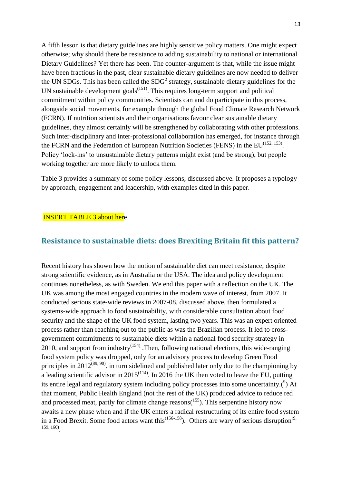A fifth lesson is that dietary guidelines are highly sensitive policy matters. One might expect otherwise; why should there be resistance to adding sustainability to national or international Dietary Guidelines? Yet there has been. The counter-argument is that, while the issue might have been fractious in the past, clear sustainable dietary guidelines are now needed to deliver the UN SDGs. This has been called the  $SDG<sup>2</sup>$  strategy, sustainable dietary guidelines for the UN sustainable development goals<sup> $(151)$ </sup>. This requires long-term support and political commitment within policy communities. Scientists can and do participate in this process, alongside social movements, for example through the global Food Climate Research Network (FCRN). If nutrition scientists and their organisations favour clear sustainable dietary guidelines, they almost certainly will be strengthened by collaborating with other professions. Such inter-disciplinary and inter-professional collaboration has emerged, for instance through the FCRN and the Federation of European Nutrition Societies (FENS) in the  $EU^{(152, 153)}$ . Policy 'lock-ins' to unsustainable dietary patterns might exist (and be strong), but people working together are more likely to unlock them.

Table 3 provides a summary of some policy lessons, discussed above. It proposes a typology by approach, engagement and leadership, with examples cited in this paper.

#### **INSERT TABLE 3 about here**

#### **Resistance to sustainable diets: does Brexiting Britain fit this pattern?**

Recent history has shown how the notion of sustainable diet can meet resistance, despite strong scientific evidence, as in Australia or the USA. The idea and policy development continues nonetheless, as with Sweden. We end this paper with a reflection on the UK. The UK was among the most engaged countries in the modern wave of interest, from 2007. It conducted serious state-wide reviews in 2007-08, discussed above, then formulated a systems-wide approach to food sustainability, with considerable consultation about food security and the shape of the UK food system, lasting two years. This was an expert oriented process rather than reaching out to the public as was the Brazilian process. It led to crossgovernment commitments to sustainable diets within a national food security strategy in 2010, and support from industry<sup> $(154)$ </sup>. Then, following national elections, this wide-ranging food system policy was dropped, only for an advisory process to develop Green Food principles in  $2012^{(89, 90)}$ . in turn sidelined and published later only due to the championing by a leading scientific advisor in  $2015^{(114)}$ . In 2016 the UK then voted to leave the EU, putting its entire legal and regulatory system including policy processes into some uncertainty. $(2)$  At that moment, Public Health England (not the rest of the UK) produced advice to reduce red and processed meat, partly for climate change reasons $(155)$ . This serpentine history now awaits a new phase when and if the UK enters a radical restructuring of its entire food system in a Food Brexit. Some food actors want this<sup> $(156-158)$ </sup>. Others are wary of serious disruption<sup>(9,</sup> 159, 160) .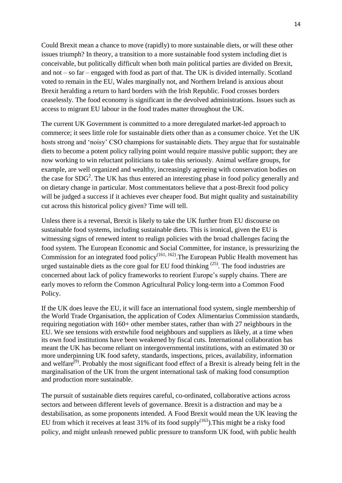Could Brexit mean a chance to move (rapidly) to more sustainable diets, or will these other issues triumph? In theory, a transition to a more sustainable food system including diet is conceivable, but politically difficult when both main political parties are divided on Brexit, and not – so far – engaged with food as part of that. The UK is divided internally. Scotland voted to remain in the EU, Wales marginally not, and Northern Ireland is anxious about Brexit heralding a return to hard borders with the Irish Republic. Food crosses borders ceaselessly. The food economy is significant in the devolved administrations. Issues such as access to migrant EU labour in the food trades matter throughout the UK.

The current UK Government is committed to a more deregulated market-led approach to commerce; it sees little role for sustainable diets other than as a consumer choice. Yet the UK hosts strong and 'noisy' CSO champions for sustainable diets. They argue that for sustainable diets to become a potent policy rallying point would require massive public support; they are now working to win reluctant politicians to take this seriously. Animal welfare groups, for example, are well organized and wealthy, increasingly agreeing with conservation bodies on the case for  $SDG<sup>2</sup>$ . The UK has thus entered an interesting phase in food policy generally and on dietary change in particular. Most commentators believe that a post-Brexit food policy will be judged a success if it achieves ever cheaper food. But might quality and sustainability cut across this historical policy given? Time will tell.

Unless there is a reversal, Brexit is likely to take the UK further from EU discourse on sustainable food systems, including sustainable diets. This is ironical, given the EU is witnessing signs of renewed intent to realign policies with the broad challenges facing the food system. The European Economic and Social Committee, for instance, is pressurizing the Commission for an integrated food policy<sup>(161, 162)</sup>. The European Public Health movement has urged sustainable diets as the core goal for EU food thinking  $(25)$ . The food industries are concerned about lack of policy frameworks to reorient Europe's supply chains. There are early moves to reform the Common Agricultural Policy long-term into a Common Food Policy.

If the UK does leave the EU, it will face an international food system, single membership of the World Trade Organisation, the application of Codex Alimentarius Commission standards, requiring negotiation with 160+ other member states, rather than with 27 neighbours in the EU. We see tensions with erstwhile food neighbours and suppliers as likely, at a time when its own food institutions have been weakened by fiscal cuts. International collaboration has meant the UK has become reliant on intergovernmental institutions, with an estimated 30 or more underpinning UK food safety, standards, inspections, prices, availability, information and welfare<sup>(9)</sup>. Probably the most significant food effect of a Brexit is already being felt in the marginalisation of the UK from the urgent international task of making food consumption and production more sustainable.

The pursuit of sustainable diets requires careful, co-ordinated, collaborative actions across sectors and between different levels of governance. Brexit is a distraction and may be a destabilisation, as some proponents intended. A Food Brexit would mean the UK leaving the EU from which it receives at least  $31\%$  of its food supply<sup> $(163)$ </sup>. This might be a risky food policy, and might unleash renewed public pressure to transform UK food, with public health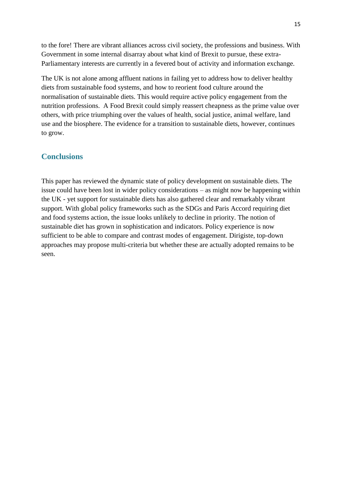to the fore! There are vibrant alliances across civil society, the professions and business. With Government in some internal disarray about what kind of Brexit to pursue, these extra-Parliamentary interests are currently in a fevered bout of activity and information exchange.

The UK is not alone among affluent nations in failing yet to address how to deliver healthy diets from sustainable food systems, and how to reorient food culture around the normalisation of sustainable diets. This would require active policy engagement from the nutrition professions. A Food Brexit could simply reassert cheapness as the prime value over others, with price triumphing over the values of health, social justice, animal welfare, land use and the biosphere. The evidence for a transition to sustainable diets, however, continues to grow.

#### **Conclusions**

This paper has reviewed the dynamic state of policy development on sustainable diets. The issue could have been lost in wider policy considerations – as might now be happening within the UK - yet support for sustainable diets has also gathered clear and remarkably vibrant support. With global policy frameworks such as the SDGs and Paris Accord requiring diet and food systems action, the issue looks unlikely to decline in priority. The notion of sustainable diet has grown in sophistication and indicators. Policy experience is now sufficient to be able to compare and contrast modes of engagement. Dirigiste, top-down approaches may propose multi-criteria but whether these are actually adopted remains to be seen.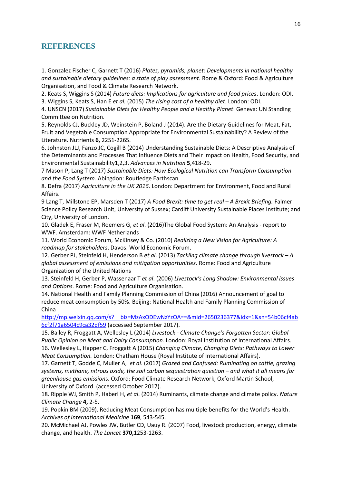#### **REFERENCES**

1. Gonzalez Fischer C, Garnett T (2016) *Plates, pyramids, planet: Developments in national healthy and sustainable dietary guidelines: a state of play assessment*. Rome & Oxford: Food & Agriculture Organisation, and Food & Climate Research Network.

2. Keats S, Wiggins S (2014) *Future diets: Implications for agriculture and food prices*. London: ODI. 3. Wiggins S, Keats S, Han E *et al.* (2015) *The rising cost of a healthy diet*. London: ODI.

4. UNSCN (2017) *Sustainable Diets for Healthy People and a Healthy Planet*. Geneva: UN Standing Committee on Nutrition.

5. Reynolds CJ, Buckley JD, Weinstein P, Boland J (2014). Are the Dietary Guidelines for Meat, Fat, Fruit and Vegetable Consumption Appropriate for Environmental Sustainability? A Review of the Literature. Nutrients **6,** 2251-2265.

6. Johnston JLJ, Fanzo JC, Cogill B (2014) Understanding Sustainable Diets: A Descriptive Analysis of the Determinants and Processes That Influence Diets and Their Impact on Health, Food Security, and Environmental Sustainability1,2,3. *Advances in Nutrition* **5**,418-29.

7 Mason P, Lang T (2017) *Sustainable Diets: How Ecological Nutrition can Transform Consumption and the Food System.* Abingdon: Routledge Earthscan

8. Defra (2017) *Agriculture in the UK 2016*. London: Department for Environment, Food and Rural Affairs.

9 Lang T, Millstone EP, Marsden T (2017) *A Food Brexit: time to get real – A Brexit Briefing.* Falmer: Science Policy Research Unit, University of Sussex; Cardiff University Sustainable Places Institute; and City, University of London.

10. Gladek E, Fraser M, Roemers G, *et al*. (2016)The Global Food System: An Analysis - report to WWF. Amsterdam: WWF Netherlands

11. World Economic Forum, McKinsey & Co. (2010) *Realizing a New Vision for Agriculture: A roadmap for stakeholders*. Davos: World Economic Forum.

12. Gerber PJ, Steinfeld H, Henderson B *et al*. (2013) *Tackling climate change through livestock – A global assessment of emissions and mitigation opportunities*. Rome: Food and Agriculture Organization of the United Nations

13. Steinfeld H, Gerber P, Wassenaar T *et al*. (2006) *Livestock's Long Shadow: Environmental issues and Options*. Rome: Food and Agriculture Organisation.

14. National Health and Family Planning Commission of China (2016) Announcement of goal to reduce meat consumption by 50%. Beijing: National Health and Family Planning Commission of China

[http://mp.weixin.qq.com/s?\\_\\_biz=MzAxODEwNzYzOA==&mid=2650236377&idx=1&sn=54b06cf4ab](http://mp.weixin.qq.com/s?__biz=MzAxODEwNzYzOA==&mid=2650236377&idx=1&sn=54b06cf4ab6cf2f71a6504c9ca32df59) [6cf2f71a6504c9ca32df59](http://mp.weixin.qq.com/s?__biz=MzAxODEwNzYzOA==&mid=2650236377&idx=1&sn=54b06cf4ab6cf2f71a6504c9ca32df59) (accessed September 2017).

15. Bailey R, Froggatt A, Wellesley L (2014) *Livestock - Climate Change's Forgotten Sector: Global Public Opinion on Meat and Dairy Consumption.* London: Royal Institution of International Affairs. 16. Wellesley L, Happer C, Froggatt A (2015) *Changing Climate, Changing Diets: Pathways to Lower Meat Consumption.* London: Chatham House (Royal Institute of International Affairs).

17. Garnett T, Godde C, Muller A, *et al*. (2017) *Grazed and Confused: Ruminating on cattle, grazing systems, methane, nitrous oxide, the soil carbon sequestration question – and what it all means for greenhouse gas emission*s. Oxford: Food Climate Research Network, Oxford Martin School, University of Oxford. (accessed October 2017).

18. Ripple WJ, Smith P, Haberl H, *et al*. (2014) Ruminants, climate change and climate policy. *Nature Climate Change* **4,** 2-5.

19. Popkin BM (2009). Reducing Meat Consumption has multiple benefits for the World's Health. *Archives of International Medicine* **169**, 543-545.

20. McMichael AJ, Powles JW, Butler CD, Uauy R. (2007) Food, livestock production, energy, climate change, and health. *The Lancet* **370,**1253-1263.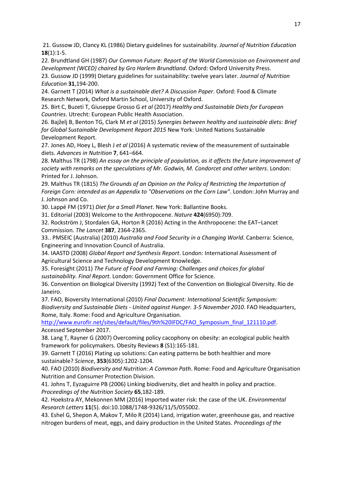21. Gussow JD, Clancy KL (1986) Dietary guidelines for sustainability. *Journal of Nutrition Education*  **18**(1):1-5.

22. Brundtland GH (1987) *Our Common Future: Report of the World Commission on Environment and Development (WCED) chaired by Gro Harlem Brundtland*. Oxford: Oxford University Press.

23. Gussow JD (1999) Dietary guidelines for sustainability: twelve years later. *Journal of Nutrition Education* **31**,194-200.

24. Garnett T (2014) *What is a sustainable diet? A Discussion Paper*. Oxford: Food & Climate Research Network, Oxford Martin School, University of Oxford.

25. Birt C, Buzeti T, Giuseppe Grosso G *et al* (2017) *Healthy and Sustainable Diets for European Countries*. Utrecht: European Public Health Association.

26. Bajželj B, Benton TG, Clark M *et al* (2015) *Synergies between healthy and sustainable diets: Brief for Global Sustainable Development Report 2015* New York: United Nations Sustainable Development Report.

27. Jones AD, Hoey L, Blesh J *et al* (2016) A systematic review of the measurement of sustainable diets. *Advances in Nutrition* **7**, 641–664.

28. Malthus TR (1798) *An essay on the principle of population, as it affects the future improvement of society with remarks on the speculations of Mr. Godwin, M. Condorcet and other writers*. London: Printed for J. Johnson.

29. Malthus TR (1815) *The Grounds of an Opinion on the Policy of Restricting the Importation of Foreign Corn: intended as an Appendix to "Observations on the Corn Law"*. London: John Murray and J. Johnson and Co.

30. Lappé FM (1971) *Diet for a Small Planet*. New York: Ballantine Books.

31. Editorial (2003) Welcome to the Anthropocene. *Nature* **424**(6950):709.

32. Rockström J, Stordalen GA, Horton R (2016) Acting in the Anthropocene: the EAT–Lancet Commission. *The Lancet* **387**, 2364-2365.

33.. PMSEIC (Australia) (2010) *Australia and Food Security in a Changing World*. Canberra: Science, Engineering and Innovation Council of Australia.

34. IAASTD (2008) *Global Report and Synthesis Report*. London: International Assessment of Agricultural Science and Technology Development Knowledge.

35. Foresight (2011) *The Future of Food and Farming: Challenges and choices for global sustainability. Final Report.* London: Government Office for Science.

36. Convention on Biological Diversity (1992) Text of the Convention on Biological Diversity. Rio de Janeiro.

37. FAO, Bioversity International (2010) *Final Document: International Scientific Symposium: Biodiversity and Sustainable Diets - United against Hunger. 3-5 November 2010*. FAO Headquarters, Rome, Italy. Rome: Food and Agriculture Organisation.

[http://www.eurofir.net/sites/default/files/9th%20IFDC/FAO\\_Symposium\\_final\\_121110.pdf.](http://www.eurofir.net/sites/default/files/9th%20IFDC/FAO_Symposium_final_121110.pdf) Accessed September 2017.

38. Lang T, Rayner G (2007) Overcoming policy cacophony on obesity: an ecological public health framework for policymakers. Obesity Reviews **8** (S1):165-181.

39. Garnett T (2016) Plating up solutions: Can eating patterns be both healthier and more sustainable? *Science*, **353**(6305):1202-1204.

40. FAO (2010) *Biodiversity and Nutrition: A Common Path*. Rome: Food and Agriculture Organisation Nutrition and Consumer Protection Division.

41. Johns T, Eyzaguirre PB (2006) Linking biodiversity, diet and health in policy and practice. *Proceedings of the Nutrition Society* **65**,182-189.

42. Hoekstra AY, Mekonnen MM (2016) Imported water risk: the case of the UK. *Environmental Research Letters* **11**(5). doi:10.1088/1748-9326/11/5/055002.

43. Eshel G, Shepon A, Makov T, Milo R (2014) Land, irrigation water, greenhouse gas, and reactive nitrogen burdens of meat, eggs, and dairy production in the United States. *Proceedings of the*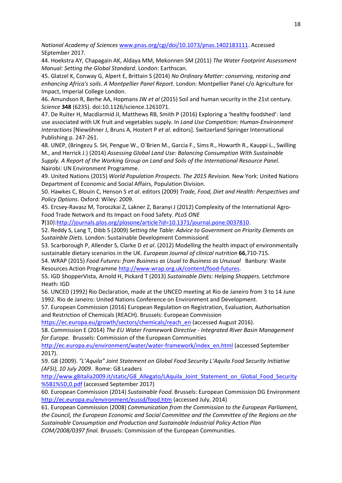*National Academy of Sciences* [www.pnas.org/cgi/doi/10.1073/pnas.1402183111.](http://www.pnas.org/cgi/doi/10.1073/pnas.1402183111) Accessed SEptember 2017.

44. Hoekstra AY, Chapagain AK, Aldaya MM, Mekonnen SM (2011) *The Water Footprint Assessment Manual: Setting the Global Standard*. London: Earthscan.

45. Glatzel K, Conway G, Alpert E, Brittain S (2014) *No Ordinary Matter: conserving, restoring and enhancing Africa's soils. A Montpellier Panel Report*. London: Montpellier Panel c/o Agriculture for Impact, Imperial College London.

46. Amundson R, Berhe AA, Hopmans JW *et al* (2015) Soil and human security in the 21st century. *Science* **348** (6235). doi:10.1126/science.1261071.

47. De Ruiter H, Macdiarmid JI, Matthews RB, Smith P (2016) Exploring a 'healthy foodshed': land use associated with UK fruit and vegetables supply. In *Land Use Competition: Human-Environment Interactions* [Niewöhner J, Bruns A, Hostert P *et al*. editors]. Switzerland Springer International Publishing p. 247-261.

48. UNEP, (Bringezu S. SH, Pengue W., O´Brien M., Garcia F., Sims R., Howarth R., Kauppi L., Swilling M., and Herrick J.) (2014) *Assessing Global Land Use: Balancing Consumption With Sustainable Supply. A Report of the Working Group on Land and Soils of the International Resource Panel.* Nairobi: UN Environment Programme.

49. United Nations (2015) *World Population Prospects. The 2015 Revision.* New York: United Nations Department of Economic and Social Affairs, Population Division.

50. Hawkes C, Blouin C, Henson S *et al*. editors (2009) *Trade, Food, Diet and Health: Perspectives and Policy Options*. Oxford: Wiley: 2009.

45. Ercsey-Ravasz M, Toroczkai Z, Lakner Z, Baranyi J (2012) Complexity of the International Agro-Food Trade Network and Its Impact on Food Safety. *PLoS ONE*

**7**(10)[:http://journals.plos.org/plosone/article?id=10.1371/journal.pone.0037810.](http://journals.plos.org/plosone/article?id=10.1371/journal.pone.0037810)

52. Reddy S, Lang T, Dibb S (2009) S*etting the Table: Advice to Government on Priority Elements on Sustainble Diets.* London: Sustainable Development CommissionE

53. Scarborough P, Allender S, Clarke D *et al*. (2012) Modelling the health impact of environmentally sustainable dietary scenarios in the UK. *European Journal of clinical nutrition* **66**,710-715.

54. WRAP (2015) *Food Futures: from Business as Usual to Business as Unusual* Banbury: Waste Resources Action Programme [http://www.wrap.org.uk/content/food-futures.](http://www.wrap.org.uk/content/food-futures)

55. IGD ShopperVista, Arnold H, Pickard T (2013) *Sustainable Diets: Helping Shoppers.* Letchmore Heath: IGD

56. UNCED (1992) Rio Declaration, made at the UNCED meeting at Rio de Janeiro from 3 to 14 June 1992. Rio de Janeiro: United Nations Conference on Environment and Development.

57. European Commission (2016) European Regulation on Registration, Evaluation, Authorisation and Restriction of Chemicals (REACH). Brussels: European Commission

[https://ec.europa.eu/growth/sectors/chemicals/reach\\_en](https://ec.europa.eu/growth/sectors/chemicals/reach_en) (accessed August 2016).

58. Commission E (2014) *The EU Water Framework Directive - Integrated River Basin Management for Europe.* Brussels: Commission of the European Communities

[http://ec.europa.eu/environment/water/water-framework/index\\_en.html](http://ec.europa.eu/environment/water/water-framework/index_en.html) (accessed September 2017).

59. G8 (2009). *"L'Aquila" Joint Statement on Global Food Security L'Aquila Food Security Initiative (AFSI), 10 July 2009*. Rome: G8 Leaders

[http://www.g8italia2009.it/static/G8\\_Allegato/LAquila\\_Joint\\_Statement\\_on\\_Global\\_Food\\_Security](http://www.g8italia2009.it/static/G8_Allegato/LAquila_Joint_Statement_on_Global_Food_Security%5B1%5D,0.pdf) [%5B1%5D,0.pdf](http://www.g8italia2009.it/static/G8_Allegato/LAquila_Joint_Statement_on_Global_Food_Security%5B1%5D,0.pdf) (accessed September 2017)

60. European Commission (2014) *Sustainable Food*. Brussels: European Commission DG Environment <http://ec.europa.eu/environment/eussd/food.htm> (accessed July, 2014)

61. European Commission (2008) *Communication from the Commission to the European Parliament, the Council, the European Economic and Social Committee and the Committee of the Regions on the Sustainable Consumption and Production and Sustainable Industrial Policy Action Plan COM/2008/0397 final.* Brussels: Commission of the European Communities.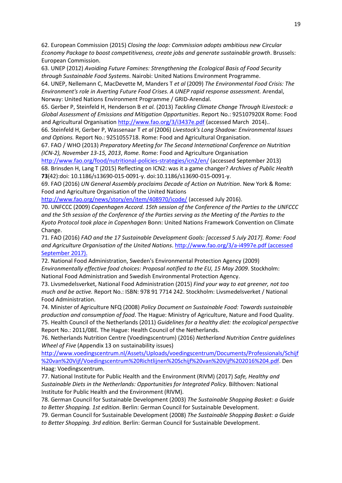62. European Commission (2015) *Closing the loop: Commission adopts ambitious new Circular Economy Package to boost competitiveness, create jobs and generate sustainable growth*. Brussels: European Commission.

63. UNEP (2012) *Avoiding Future Famines: Strengthening the Ecological Basis of Food Security through Sustainable Food Systems*. Nairobi: United Nations Environment Programme.

64. UNEP, Nellemann C, MacDevette M, Manders T *et al* (2009) *The Environmental Food Crisis: The Environment's role in Averting Future Food Crises. A UNEP rapid response assessment.* Arendal, Norway: United Nations Environment Programme / GRID-Arendal.

65. Gerber P, Steinfeld H, Henderson B *et al.* (2013) *Tackling Climate Change Through lLivestock: a Global Assessment of Emissions and Mitigation Opportunities*. Report No.: 925107920X Rome: Food and Agricultural Organisation <http://www.fao.org/3/i3437e.pdf> (accessed March 2014)..

66. Steinfeld H, Gerber P, Wassenaar T *et al* (2006) *Livestock's Long Shadow: Environmental Issues and Options.* Report No.: 9251055718. Rome: Food and Agricultural Organisation.

67. FAO / WHO (2013) *Preparatory Meeting for The Second International Conference on Nutrition (ICN-2), November 13-15, 2013*, *Rome.* Rome: Food and Agriculture Organisation

<http://www.fao.org/food/nutritional-policies-strategies/icn2/en/> (accessed September 2013) 68. Brinsden H, Lang T (2015) Reflecting on ICN2: was it a game changer? *Archives of Public Health*  **73**(42):doi: 10.1186/s13690-015-0091-y. doi:10.1186/s13690-015-0091-y.

69. FAO (2016) *UN General Assembly proclaims Decade of Action on Nutrition*. New York & Rome: Food and Agriculture Organisation of the United Nations

<http://www.fao.org/news/story/en/item/408970/icode/> (accessed July 2016).

70. UNFCCC (2009) *Copenhagen Accord. 15th session of the Conference of the Parties to the UNFCCC and the 5th session of the Conference of the Parties serving as the Meeting of the Parties to the Kyoto Protocol took place in Copenhagen* Bonn: United Nations Framework Convention on Climate Change.

71. FAO (2016) *FAO and the 17 Sustainable Development Goals: [accessed 5 July 2017]. Rome: Food and Agriculture Organisation of the United Nations*. <http://www.fao.org/3/a-i4997e.pdf> (accessed September 2017).

72. National Food Administration, Sweden's Environmental Protection Agency (2009) *Environmentally effective food choices: Proposal notified to the EU, 15 May 2009*. Stockholm: National Food Administration and Swedish Environmental Protection Agency.

73. Livsmedelsverket, National Food Administration (2015) *Find your way to eat greener, not too much and be active.* Report No.: ISBN: 978 91 7714 242. Stockholm: Livsmedelsverket / National Food Administration.

74. Minister of Agriculture NFQ (2008) *Policy Document on Sustainable Food: Towards sustainable production and consumption of food*. The Hague: Ministry of Agriculture, Nature and Food Quality. 75. Health Council of the Netherlands (2011) *Guidelines for a healthy diet: the ecological perspective* Report No.: 2011/08E*.* The Hague: Health Council of the Netherlands.

76. Netherlands Nutrition Centre (Voedingscentrum) (2016) *Netherland Nutrition Centre guidelines Wheel of Five* (Appendix 13 on sustainability issues)

[http://www.voedingscentrum.nl/Assets/Uploads/voedingscentrum/Documents/Professionals/Schijf](http://www.voedingscentrum.nl/Assets/Uploads/voedingscentrum/Documents/Professionals/Schijf%20van%20Vijf/Voedingscentrum%20Richtlijnen%20Schijf%20van%20Vijf%202016%204.pdf) [%20van%20Vijf/Voedingscentrum%20Richtlijnen%20Schijf%20van%20Vijf%202016%204.pdf.](http://www.voedingscentrum.nl/Assets/Uploads/voedingscentrum/Documents/Professionals/Schijf%20van%20Vijf/Voedingscentrum%20Richtlijnen%20Schijf%20van%20Vijf%202016%204.pdf) Den Haag: Voedingscentrum.

77. National Institute for Public Health and the Environment (RIVM) (2017) *Safe, Healthy and Sustainable Diets in the Netherlands: Opportunities for Integrated Policy*. Bilthoven: National Institute for Public Health and the Environment (RIVM).

78. German Council for Sustainable Development (2003) *The Sustainable Shopping Basket: a Guide to Better Shopping. 1st edition*. Berlin: German Council for Sustainable Development.

79. German Council for Sustainable Development (2008) *The Sustainable Shopping Basket: a Guide to Better Shopping. 3rd edition.* Berlin: German Council for Sustainable Development.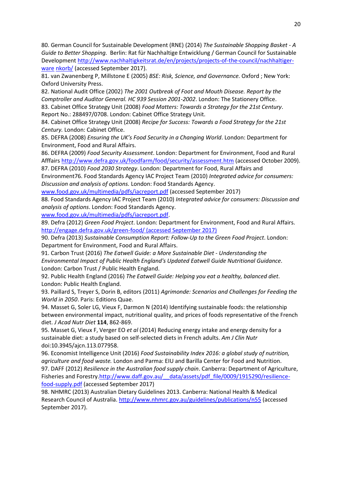80. German Council for Sustainable Development (RNE) (2014) *The Sustainable Shopping Basket - A Guide to Better Shopping.* Berlin: Rat für Nachhaltige Entwicklung / German Council for Sustainable Development [http://www.nachhaltigkeitsrat.de/en/projects/projects-of-the-council/nachhaltiger](http://www.nachhaltigkeitsrat.de/en/projects/projects-of-the-council/nachhaltiger-warenkorb/)ware [nkorb/](http://www.nachhaltigkeitsrat.de/en/projects/projects-of-the-council/nachhaltiger-warenkorb/) (accessed September 2017).

81. van Zwanenberg P, Millstone E (2005) *BSE: Risk, Science, and Governance.* Oxford ; New York: Oxford University Press.

82. National Audit Office (2002) *The 2001 Outbreak of Foot and Mouth Disease. Report by the Comptroller and Auditor General. HC 939 Session 2001-2002*. London: The Stationery Office.

83. Cabinet Office Strategy Unit (2008) *Food Matters: Towards a Strategy for the 21st Century*. Report No.: 288497/0708. London: Cabinet Office Strategy Unit.

84. Cabinet Office Strategy Unit (2008) *Recipe for Success: Towards a Food Strategy for the 21st Century.* London: Cabinet Office.

85. DEFRA (2008) *Ensuring the UK's Food Security in a Changing World*. London: Department for Environment, Food and Rural Affairs.

86. DEFRA (2009) *Food Security Assessment*. London: Department for Environment, Food and Rural Afffairs <http://www.defra.gov.uk/foodfarm/food/security/assessment.htm> (accessed October 2009). 87. DEFRA (2010) *Food 2030 Strategy*. London: Department for Food, Rural Affairs and

Environment76. Food Standards Agency IAC Project Team (2010) *Integrated advice for consumers: Discussion and analysis of options.* London: Food Standards Agency.

[www.food.gov.uk/multimedia/pdfs/iacreport.pdf](http://www.food.gov.uk/multimedia/pdfs/iacreport.pdf) (accessed September 2017)

88. Food Standards Agency IAC Project Team (2010) *Integrated advice for consumers: Discussion and analysis of options*. London: Food Standards Agency.

[www.food.gov.uk/multimedia/pdfs/iacreport.pdf.](http://www.food.gov.uk/multimedia/pdfs/iacreport.pdf)

89. Defra (2012) *Green Food Project*. London: Department for Environment, Food and Rural Affairs. <http://engage.defra.gov.uk/green-food/> (accessed September 2017)

90. Defra (2013) *Sustainable Consumption Report: Follow-Up to the Green Food Project*. London: Department for Environment, Food and Rural Affairs.

91. Carbon Trust (2016) *The Eatwell Guide: a More Sustainable Diet - Understanding the Environmental Impact of Public Health England's Updated Eatwell Guide Nutritional Guidance*. London: Carbon Trust / Public Health England.

92. Public Health England (2016) *The Eatwell Guide: Helping you eat a healthy, balanced diet*. London: Public Health England.

93. Paillard S, Treyer S, Dorin B, editors (2011) *Agrimonde: Scenarios and Challenges for Feeding the World in 2050*. Paris: Editions Quae.

94. Masset G, Soler LG, Vieux F, Darmon N (2014) Identifying sustainable foods: the relationship between environmental impact, nutritional quality, and prices of foods representative of the French diet. *J Acad Nutr Diet* **114**, 862-869.

95. Masset G, Vieux F, Verger EO *et al* (2014) Reducing energy intake and energy density for a sustainable diet: a study based on self-selected diets in French adults. *Am J Clin Nutr* doi:10.3945/ajcn.113.077958.

96. Economist Intelligence Unit (2016) *Food Sustainability Index 2016: a global study of nutrition, agriculture and food waste.* London and Parma: EIU and Barilla Center for Food and Nutrition. 97. DAFF (2012) *Resilience in the Australian food supply chain*. Canberra: Department of Agriculture, Fisheries and Forestry[.http://www.daff.gov.au/\\_\\_data/assets/pdf\\_file/0009/1915290/resilience](http://www.daff.gov.au/__data/assets/pdf_file/0009/1915290/resilience-food-supply.pdf)[food-supply.pdf](http://www.daff.gov.au/__data/assets/pdf_file/0009/1915290/resilience-food-supply.pdf) (accessed September 2017)

98. NHMRC (2013) Australian Dietary Guidelines 2013. Canberra: National Health & Medical Research Council of Australia. <http://www.nhmrc.gov.au/guidelines/publications/n55> (accessed September 2017).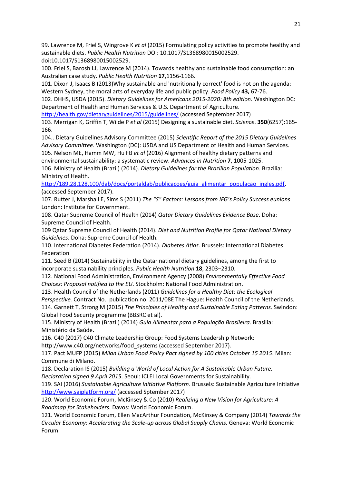99. Lawrence M, Friel S, Wingrove K *et al* (2015) Formulating policy activities to promote healthy and sustainable diets. *Public Health Nutrition* DOI: 10.1017/S1368980015002529. doi:10.1017/S1368980015002529.

100. Friel S, Barosh LJ, Lawrence M (2014). Towards healthy and sustainable food consumption: an Australian case study. *Public Health Nutrition* **17**,1156-1166.

101. Dixon J, Isaacs B (2013)Why sustainable and 'nutritionally correct' food is not on the agenda: Western Sydney, the moral arts of everyday life and public policy. *Food Policy* **43,** 67-76.

102. DHHS, USDA (2015). *Dietary Guidelines for Americans 2015-2020: 8th edition.* Washington DC: Department of Health and Human Services & U.S. Department of Agriculture.

<http://health.gov/dietaryguidelines/2015/guidelines/> (accessed September 2017)

103. Merrigan K, Griffin T, Wilde P *et al* (2015) Designing a sustainable diet. *Science*. **350**(6257):165- 166.

104.. Dietary Guidelines Advisory Committee (2015) *Scientific Report of the 2015 Dietary Guidelines Advisory Committee*. Washington (DC): USDA and US Department of Health and Human Services. 105. Nelson ME, Hamm MW, Hu FB *et al* (2016) Alignment of healthy dietary patterns and

environmental sustainability: a systematic review. *Advances in Nutrition* **7**, 1005-1025. 106. Ministry of Health (Brazil) (2014). *Dietary Guidelines for the Brazilian Population.* Brazilia: Ministry of Health.

[http://189.28.128.100/dab/docs/portaldab/publicacoes/guia\\_alimentar\\_populacao\\_ingles.pdf.](http://189.28.128.100/dab/docs/portaldab/publicacoes/guia_alimentar_populacao_ingles.pdf) (accessed September 2017).

107. Rutter J, Marshall E, Sims S (2011) *The "S" Factors: Lessons from IFG's Policy Success eunions* London: Institute for Government.

108. Qatar Supreme Council of Health (2014) *Qatar Dietary Guidelines Evidence Base*. Doha: Supreme Council of Health.

109 Qatar Supreme Council of Health (2014). *Diet and Nutrition Profile for Qatar National Dietary Guidelines*. Doha: Supreme Council of Health.

110. International Diabetes Federation (2014). *Diabetes Atlas.* Brussels: International Diabetes Federation

111. Seed B (2014) Sustainability in the Qatar national dietary guidelines, among the first to incorporate sustainability principles. *Public Health Nutrition* **18**, 2303–2310.

112. National Food Administration, Environment Agency (2008) *Environmentally Effective Food Choices: Proposal notified to the EU*. Stockholm: National Food Administration.

113. Health Council of the Netherlands (2011) *Guidelines for a Healthy Diet: the Ecological Perspective.* Contract No.: publication no. 2011/08E The Hague: Health Council of the Netherlands. 114. Garnett T, Strong M (2015) *The Principles of Healthy and Sustainable Eating Patterns*. Swindon: Global Food Security programme (BBSRC et al).

115. Ministry of Health (Brazil) (2014) *Guia Alimentar para a População Brasileira*. Brasilia: Ministério da Saúde.

116. C40 (2017) C40 Climate Leadership Group: Food Systems Leadership Network:

http://www.c40.org/networks/food systems (accessed September 2017).

117. Pact MUFP (2015) *Milan Urban Food Policy Pact signed by 100 cities October 15 2015*. Milan: Commune di Milano.

118. Declaration IS (2015) *Building a World of Local Action for A Sustainable Urban Future. Declaration signed 9 April 2015*. Seoul: ICLEI Local Governments for Sustainability.

119. SAI (2016) *Sustainable Agriculture Initiative Platform*. Brussels: Sustainable Agriculture Initiative <http://www.saiplatform.org/> (accessed Sptember 2017)

120. World Economic Forum, McKinsey & Co (2010) *Realizing a New Vision for Agriculture: A Roadmap for Stakeholders.* Davos: World Economic Forum.

121. World Economic Forum, Ellen MacArthur Foundation, McKinsey & Company (2014) *Towards the Circular Economy: Accelerating the Scale-up across Global Supply Chains.* Geneva: World Economic Forum.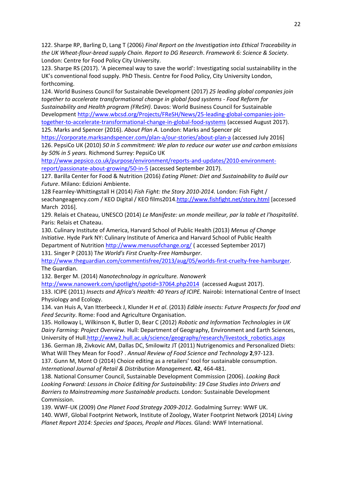122. Sharpe RP, Barling D, Lang T (2006) *Final Report on the Investigation into Ethical Traceability in the UK Wheat-flour-bread supply Chain. Report to DG Research*. *Framework 6: Science & Society*. London: Centre for Food Policy City University.

123. Sharpe RS (2017). 'A piecemeal way to save the world': Investigating social sustainability in the UK's conventional food supply. PhD Thesis. Centre for Food Policy, City University London, forthcoming.

124. World Business Council for Sustainable Development (2017) *25 leading global companies join together to accelerate transformational change in global food systems - Food Reform for Sustainability and Health program (FReSH)*. Davos: World Business Council for Sustainable Development [http://www.wbcsd.org/Projects/FReSH/News/25-leading-global-companies-join](http://www.wbcsd.org/Projects/FReSH/News/25-leading-global-companies-join-together-to-accelerate-transformational-change-in-global-food-systems)[together-to-accelerate-transformational-change-in-global-food-systems](http://www.wbcsd.org/Projects/FReSH/News/25-leading-global-companies-join-together-to-accelerate-transformational-change-in-global-food-systems) (accessed August 2017).

125. Marks and Spencer (2016). *About Plan A.* London: Marks and Spencer plc

<https://corporate.marksandspencer.com/plan-a/our-stories/about-plan-a> (accessed July 2016] 126. PepsiCo UK (2010) *50 in 5 commitment: We plan to reduce our water use and carbon emissions by 50% in 5 years.* Richmond Surrey: PepsiCo UK

[http://www.pepsico.co.uk/purpose/environment/reports-and-updates/2010-environment](http://www.pepsico.co.uk/purpose/environment/reports-and-updates/2010-environment-report/passionate-about-growing/50-in-5)[report/passionate-about-growing/50-in-5](http://www.pepsico.co.uk/purpose/environment/reports-and-updates/2010-environment-report/passionate-about-growing/50-in-5) (accessed September 2017).

127. Barilla Center for Food & Nutrition (2016) *Eating Planet: Diet and Sustainability to Build our Future*. Milano: Edizioni Ambiente.

128 Fearnley-Whittingstall H (2014) *Fish Fight: the Story 2010-2014.* London: Fish Fight / seachangeagency.com / KEO Digital / KEO films2014[.http://www.fishfight.net/story.html](http://www.fishfight.net/story.html) [accessed March 2016].

129. Relais et Chateau, UNESCO (2014) *Le Manifeste: un monde meilleur, par la table et l'hospitalité*. Paris: Relais et Chateau.

130. Culinary Institute of America, Harvard School of Public Health (2013) *Menus of Change Initiative*. Hyde Park NY: Culinary Institute of America and Harvard School of Public Health Department of Nutrition <http://www.menusofchange.org/> (accessed September 2017) 131. Singer P (2013) T*he World's First Cruelty-Free Hamburger*.

[http://www.theguardian.com/commentisfree/2013/aug/05/worlds-first-cruelty-free-hamburger.](http://www.theguardian.com/commentisfree/2013/aug/05/worlds-first-cruelty-free-hamburger) The Guardian.

132. Berger M. (2014) *Nanotechnology in agriculture. Nanowerk*

<http://www.nanowerk.com/spotlight/spotid=37064.php2014> (accessed August 2017).

133. ICIPE (2011) *Insects and Africa's Health: 40 Years of ICIPE.* Nairobi: International Centre of Insect Physiology and Ecology.

134. van Huis A, Van Itterbeeck J, Klunder H *et al*. (2013) *Edible insects: Future Prospects for food and Feed Security*. Rome: Food and Agriculture Organisation.

135. Holloway L, Wilkinson K, Butler D, Bear C (2012) *Robotic and Information Technologies in UK Dairy Farming: Project Overview.* Hull: Department of Geography, Environment and Earth Sciences, University of Hul[l.http://www2.hull.ac.uk/science/geography/research/livestock\\_robotics.aspx](http://www2.hull.ac.uk/science/geography/research/livestock_robotics.aspx)

136. German JB, Zivkovic AM, Dallas DC, Smilowitz JT (2011) Nutrigenomics and Personalized Diets: What Will They Mean for Food? . *Annual Review of Food Science and Technology* **2**,97-123. 137. Gunn M, Mont O (2014) Choice editing as a retailers' tool for sustainable consumption. *International Journal of Retail & Distribution Management.* **42**, 464-481.

138. National Consumer Council, Sustainable Development Commission (2006). *Looking Back Looking Forward: Lessons in Choice Editing for Sustainability: 19 Case Studies into Drivers and Barriers to Mainstreaming more Sustainable products.* London: Sustainable Development Commission.

139. WWF-UK (2009) *One Planet Food Strategy 2009-2012*. Godalming Surrey: WWF UK. 140. WWF, Global Footprint Network, Institute of Zoology, Water Footprint Network (2014) *Living Planet Report 2014: Species and Spaces, People and Places.* Gland: WWF International.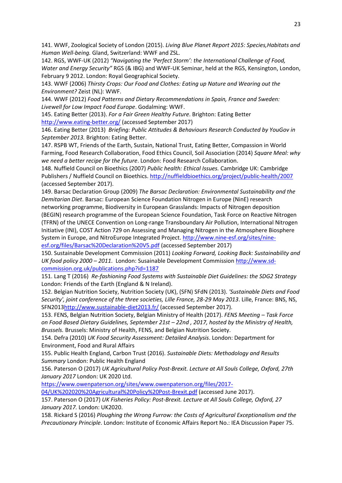141. WWF, Zoological Society of London (2015). *Living Blue Planet Report 2015: Species,Habitats and Human Well-being.* Gland, Switzerland: WWF and ZSL.

142. RGS, WWF-UK (2012) *"Navigating the 'Perfect Storm': the International Challenge of Food, Water and Energy Security"* RGS (& IBG) and WWF-UK Seminar, held at the RGS, Kensington, London, February 9 2012. London: Royal Geographical Society.

143. WWF (2006) *Thirsty Crops: Our Food and Clothes: Eating up Nature and Wearing out the Environment?* Zeist (NL): WWF.

144. WWF (2012) *Food Patterns and Dietary Recommendations in Spain, France and Sweden: Livewell for Low Impact Food Europe*. Godalming: WWF.

145. Eating Better (2013). *For a Fair Green Healthy Future*. Brighton: Eating Better <http://www.eating-better.org/> (accessed September 2017)

146. Eating Better (2013) *Briefing: Public Attitudes & Behaviours Research Conducted by YouGov in September 2013.* Brighton: Eating Better.

147. RSPB WT, Friends of the Earth, Sustain, National Trust, Eating Better, Compassion in World Farming, Food Research Collaboration, Food Ethics Council, Soil Association (2014) *Square Meal: why we need a better recipe for the future*. London: Food Research Collaboration.

148. Nuffield Council on Bioethics (2007) *Public health: Ethical Issues.* Cambridge UK: Cambridge Publishers / Nuffield Council on Bioethics.<http://nuffieldbioethics.org/project/public-health/2007> (accessed September 2017).

149. Barsac Declaration Group (2009) *The Barsac Declaration: Environmental Sustainability and the Demitarian Diet*. Barsac: European Science Foundation Nitrogen in Europe (NinE) research networking programme, Biodiversity in European Grasslands: Impacts of Nitrogen deposition (BEGIN) research programme of the European Science Foundation, Task Force on Reactive Nitrogen (TFRN) of the UNECE Convention on Long-range Transboundary Air Pollution, International Nitrogen Initiative (INI), COST Action 729 on Assessing and Managing Nitrogen in the Atmosphere Biosphere System in Europe, and NitroEurope Integrated Project. [http://www.nine-esf.org/sites/nine-](http://www.nine-esf.org/sites/nine-esf.org/files/Barsac%20Declaration%20V5.pdf)

[esf.org/files/Barsac%20Declaration%20V5.pdf](http://www.nine-esf.org/sites/nine-esf.org/files/Barsac%20Declaration%20V5.pdf) (accessed September 2017)

150. Sustainable Development Commission (2011) *Looking Forward, Looking Back: Sustainability and UK food policy 2000 – 2011*. London: Susainable Development Commission [http://www.sd](http://www.sd-commission.org.uk/publications.php?id=1187)[commission.org.uk/publications.php?id=1187](http://www.sd-commission.org.uk/publications.php?id=1187)

151. Lang T (2016) *Re-fashioning Food Systems with Sustainable Diet Guidelines: the SDG2 Strategy* London: Friends of the Earth (England & N Ireland).

152. Belgian Nutrition Society, Nutrition Society (UK), (SFN) SFdN (2013). *'Sustainable Diets and Food Security', joint conference of the three societies, Lille France, 28-29 May 2013*. Lille, France: BNS, NS, SFN201[3http://www.sustainable-diet2013.fr/](http://www.sustainable-diet2013.fr/) (accessed September 2017).

153. FENS, Belgian Nutrition Society, Belgian Ministry of Health (2017). *FENS Meeting – Task Force on Food Based Dietary Guidelines, September 21st – 22nd , 2017, hosted by the Ministry of Health, Brussels.* Brussels: Ministry of Health, FENS, and Belgian Nutrition Society.

154. Defra (2010) *UK Food Security Assessment: Detailed Analysis*. London: Department for Environment, Food and Rural Affairs

155. Public Health England, Carbon Trust (2016). *Sustainable Diets: Methodology and Results Summary* London: Public Health England

156. Paterson O (2017) *UK Agricultural Policy Post-Brexit. Lecture at All Souls College, Oxford, 27th January 2017* London: UK 2020 Ltd.

[https://www.owenpaterson.org/sites/www.owenpaterson.org/files/2017-](https://www.owenpaterson.org/sites/www.owenpaterson.org/files/2017-04/UK%202020%20Agricultural%20Policy%20Post-Brexit.pdf)

[04/UK%202020%20Agricultural%20Policy%20Post-Brexit.pdf](https://www.owenpaterson.org/sites/www.owenpaterson.org/files/2017-04/UK%202020%20Agricultural%20Policy%20Post-Brexit.pdf) (accessed June 2017).

157. Paterson O (2017) *UK Fisheries Policy: Post-Brexit. Lecture at All Souls College, Oxford, 27 January 2017.* London: UK2020.

158. Rickard S (2016) *Ploughing the Wrong Furrow: the Costs of Agricultural Exceptionalism and the Precautionary Principle*. London: Institute of Economic Affairs Report No.: IEA Discussion Paper 75.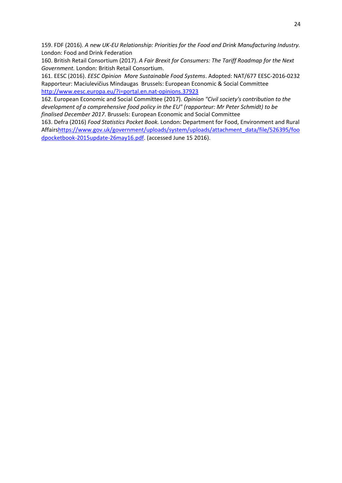159. FDF (2016). *A new UK-EU Relationship: Priorities for the Food and Drink Manufacturing Industry.*  London: Food and Drink Federation

160. British Retail Consortium (2017). *A Fair Brexit for Consumers: The Tariff Roadmap for the Next Government.* London: British Retail Consortium.

161. EESC (2016). *EESC Opinion More Sustainable Food Systems*. Adopted: NAT/677 EESC-2016-0232 Rapporteur: Maciulevičius Mindaugas Brussels: European Economic & Social Committee <http://www.eesc.europa.eu/?i=portal.en.nat-opinions.37923>

162. European Economic and Social Committee (2017). *Opinion "Civil society's contribution to the development of a comprehensive food policy in the EU" (rapporteur: Mr Peter Schmidt) to be finalised December 2017*. Brussels: European Economic and Social Committee

163. Defra (2016) *Food Statistics Pocket Book.* London: Department for Food, Environment and Rural Affair[shttps://www.gov.uk/government/uploads/system/uploads/attachment\\_data/file/526395/foo](https://www.gov.uk/government/uploads/system/uploads/attachment_data/file/526395/foodpocketbook-2015update-26may16.pdf) [dpocketbook-2015update-26may16.pdf.](https://www.gov.uk/government/uploads/system/uploads/attachment_data/file/526395/foodpocketbook-2015update-26may16.pdf) (accessed June 15 2016).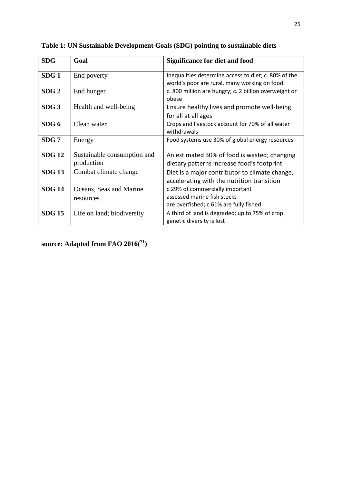| <b>SDG</b>       | Goal                                      | <b>Significance for diet and food</b>                                                                    |
|------------------|-------------------------------------------|----------------------------------------------------------------------------------------------------------|
| SDG1             | End poverty                               | Inequalities determine access to diet; c. 80% of the<br>world's poor are rural, many working on food     |
| SDG2             | End hunger                                | c. 800 million are hungry; c. 2 billion overweight or<br>obese                                           |
| SDG <sub>3</sub> | Health and well-being                     | Ensure healthy lives and promote well-being<br>for all at all ages                                       |
| SDG <sub>6</sub> | Clean water                               | Crops and livestock account for 70% of all water<br>withdrawals                                          |
| SDG 7            | Energy                                    | Food systems use 30% of global energy resources                                                          |
| <b>SDG 12</b>    | Sustainable consumption and<br>production | An estimated 30% of food is wasted; changing<br>dietary patterns increase food's footprint               |
| <b>SDG 13</b>    | Combat climate change                     | Diet is a major contributor to climate change,<br>accelerating with the nutrition transition             |
| <b>SDG 14</b>    | Oceans, Seas and Marine<br>resources      | c.29% of commercially important<br>assessed marine fish stocks<br>are overfished; c.61% are fully fished |
| <b>SDG 15</b>    | Life on land; biodiversity                | A third of land is degraded; up to 75% of crop<br>genetic diversity is lost                              |

**Table 1: UN Sustainable Development Goals (SDG) pointing to sustainable diets**

**source: Adapted from FAO 2016( 71)**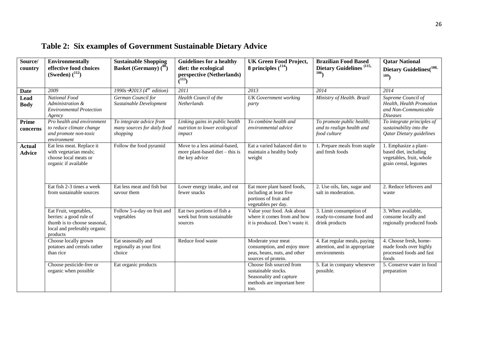| Source/<br>country             | <b>Environmentally</b><br>effective food choices<br>(Sweden) $(^{112})$                                                       | <b>Sustainable Shopping</b><br><b>Basket (Germany)</b> (80)         | <b>Guidelines for a healthy</b><br>diet: the ecological<br>perspective (Netherlands) | <b>UK Green Food Project,</b><br>8 principles $(114)$                                                            | <b>Brazilian Food Based</b><br>Dietary Guidelines <sup>(115,</sup><br>106     | <b>Qatar National</b><br>Dietary Guidelines(108,<br>109                                             |
|--------------------------------|-------------------------------------------------------------------------------------------------------------------------------|---------------------------------------------------------------------|--------------------------------------------------------------------------------------|------------------------------------------------------------------------------------------------------------------|-------------------------------------------------------------------------------|-----------------------------------------------------------------------------------------------------|
|                                |                                                                                                                               |                                                                     | (113)                                                                                |                                                                                                                  |                                                                               |                                                                                                     |
| Date                           | 2009                                                                                                                          | 1990s $\rightarrow$ 2013 (4 <sup>th</sup> edition)                  | 2011                                                                                 | 2013                                                                                                             | 2014                                                                          | 2014                                                                                                |
| Lead<br><b>Body</b>            | National Food<br>Administration &<br><b>Environmental Protection</b><br>Agency                                                | German Council for<br>Sustainable Development                       | Health Council of the<br><b>Netherlands</b>                                          | <b>UK</b> Government working<br>party                                                                            | Ministry of Health. Brazil                                                    | Supreme Council of<br>Health, Health Promotion<br>and Non-Communicable<br><b>Diseases</b>           |
| Prime<br>concerns              | Pro health and environment<br>to reduce climate change<br>and promote non-toxic<br>environment                                | To integrate advice from<br>many sources for daily food<br>shopping | Linking gains in public health<br>nutrition to lower ecological<br>impact            | To combine health and<br>environmental advice                                                                    | To promote public health;<br>and to realign health and<br>food culture        | To integrate principles of<br>sustainability into the<br><b>Qatar Dietary guidelines</b>            |
| <b>Actual</b><br><b>Advice</b> | Eat less meat. Replace it<br>with vegetarian meals;<br>choose local meats or<br>organic if available                          | Follow the food pyramid                                             | Move to a less animal-based,<br>more plant-based diet - this is<br>the key advice    | Eat a varied balanced diet to<br>maintain a healthy body<br>weight                                               | 1. Prepare meals from staple<br>and fresh foods                               | 1. Emphasize a plant-<br>based diet, including<br>vegetables, fruit, whole<br>grain cereal, legumes |
|                                | Eat fish 2-3 times a week<br>from sustainable sources                                                                         | Eat less meat and fish but<br>savour them                           | Lower energy intake, and eat<br>fewer snacks                                         | Eat more plant based foods,<br>including at least five<br>portions of fruit and<br>vegetables per day.           | 2. Use oils, fats, sugar and<br>salt in moderation.                           | 2. Reduce leftovers and<br>waste                                                                    |
|                                | Eat Fruit, vegetables,<br>berries: a good rule of<br>thumb is to choose seasonal,<br>local and preferably organic<br>products | Follow 5-a-day on fruit and<br>vegetables                           | Eat two portions of fish a<br>week but from sustainable<br>sources                   | Value your food. Ask about<br>where it comes from and how<br>it is produced. Don't waste it.                     | 3. Limit consumption of<br>ready-to-consume food and<br>drink products        | 3. When available,<br>consume locally and<br>regionally produced foods                              |
|                                | Choose locally grown<br>potatoes and cereals rather<br>than rice                                                              | Eat seasonally and<br>regionally as your first<br>choice            | Reduce food waste                                                                    | Moderate your meat<br>consumption, and enjoy more<br>peas, beans, nuts, and other<br>sources of protein.         | 4. Eat regular meals, paying<br>attention, and in appropriate<br>environments | 4. Choose fresh, home-<br>made foods over highly<br>processed foods and fast<br>foods               |
|                                | Choose pesticide-free or<br>organic when possible                                                                             | Eat organic products                                                |                                                                                      | Choose fish sourced from<br>sustainable stocks.<br>Seasonality and capture<br>methods are important here<br>too. | 5. Eat in company whenever<br>possible.                                       | 5. Conserve water in food<br>preparation                                                            |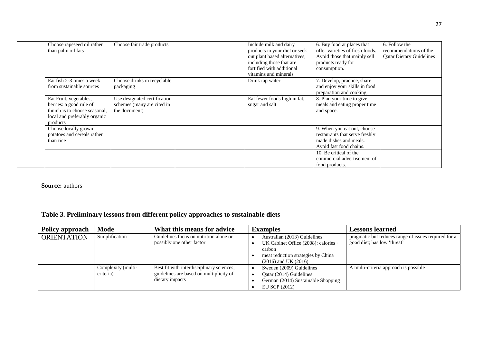| Choose rapeseed oil rather<br>than palm oil fats                                                                              | Choose fair trade products                                                  | Include milk and dairy<br>products in your diet or seek<br>out plant based alternatives,<br>including those that are<br>fortified with additional<br>vitamins and minerals | 6. Buy food at places that<br>offer varieties of fresh foods.<br>Avoid those that mainly sell<br>products ready for<br>consumption. | 6. Follow the<br>recommendations of the<br><b>Qatar Dietary Guidelines</b> |
|-------------------------------------------------------------------------------------------------------------------------------|-----------------------------------------------------------------------------|----------------------------------------------------------------------------------------------------------------------------------------------------------------------------|-------------------------------------------------------------------------------------------------------------------------------------|----------------------------------------------------------------------------|
| Eat fish 2-3 times a week<br>from sustainable sources                                                                         | Choose drinks in recyclable<br>packaging                                    | Drink tap water                                                                                                                                                            | 7. Develop, practice, share<br>and enjoy your skills in food<br>preparation and cooking.                                            |                                                                            |
| Eat Fruit, vegetables,<br>berries: a good rule of<br>thumb is to choose seasonal,<br>local and preferably organic<br>products | Use designated certification<br>schemes (many are cited in<br>the document) | Eat fewer foods high in fat,<br>sugar and salt                                                                                                                             | 8. Plan your time to give<br>meals and eating proper time<br>and space.                                                             |                                                                            |
| Choose locally grown<br>potatoes and cereals rather<br>than rice                                                              |                                                                             |                                                                                                                                                                            | 9. When you eat out, choose<br>restaurants that serve freshly<br>made dishes and meals.<br>Avoid fast food chains.                  |                                                                            |
|                                                                                                                               |                                                                             |                                                                                                                                                                            | 10. Be critical of the<br>commercial advertisement of<br>food products.                                                             |                                                                            |

**Source:** authors

### **Table 3. Preliminary lessons from different policy approaches to sustainable diets**

| Policy approach    | Mode                            | What this means for advice                                                                              | <b>Examples</b>                                                                                                                                     | <b>Lessons learned</b>                                                              |
|--------------------|---------------------------------|---------------------------------------------------------------------------------------------------------|-----------------------------------------------------------------------------------------------------------------------------------------------------|-------------------------------------------------------------------------------------|
| <b>ORIENTATION</b> | Simplification                  | Guidelines focus on nutrition alone or<br>possibly one other factor                                     | Australian (2013) Guidelines<br>UK Cabinet Office $(2008)$ : calories +<br>carbon<br>meat reduction strategies by China<br>$(2016)$ and UK $(2016)$ | pragmatic but reduces range of issues required for a<br>good diet; has low 'threat' |
|                    | Complexity (multi-<br>criteria) | Best fit with interdisciplinary sciences;<br>guidelines are based on multiplicity of<br>dietary impacts | Sweden (2009) Guidelines<br>Qatar (2014) Guidelines<br>German (2014) Sustainable Shopping<br>EU SCP (2012)                                          | A multi-criteria approach is possible                                               |